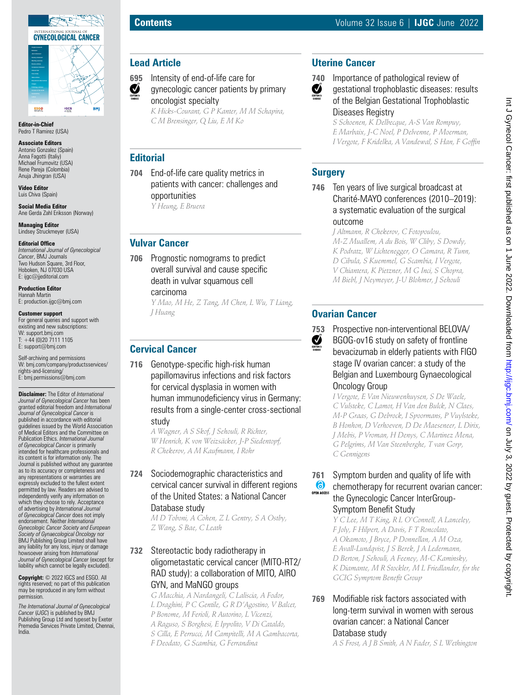

**Editor-in-Chief** Pedro T Ramirez (USA)

#### **Associate Editors**

Antonio Gonzalez (Spain) Anna Fagotti (Italiy) Michael Frumovitz (USA) Rene Pareja (Colombia) Anuja Jhingran (USA)

**Video Editor** Luis Chiva (Spain)

**Social Media Editor** Ane Gerda Zahl Eriksson (Norway)

**Managing Editor** Lindsey Struckmeyer (USA)

#### **Editorial Office**

*International Journal of Gynecological Cancer*, BMJ Journals Two Hudson Square, 3rd Floor, Hoboken, NJ 07030 USA E: ijgc@jjeditorial.com

**Production Editor** Hannah Martin E: production.ijgc@bmj.com

#### **Customer support**

For general queries and support with existing and new subscriptions: W: support.bmj.com  $T: +44(0)2071111105$ E: support@bmj.com

Self-archiving and permissions W: bmj.com/company/productsservices/ rights-and-licensing/ E: bmj.permissions@bmj.com

**Disclaimer:** The Editor of *International Journal of Gynecological Cancer* has been granted editorial freedom and *International Journal of Gynecological Cancer* is published in accordance with editorial guidelines issued by the World Association of Medical Editors and the Committee on Publication Ethics. *International Journal of Gynecological Cancer* is primarily intended for healthcare professionals and its content is for information only. The Journal is published without any guarantee as to its accuracy or completeness and any representations or warranties are expressly excluded to the fullest extent permitted by law. Readers are advised to independently verify any information on which they choose to rely. Acceptance of advertising by *International Journal of Gynecological Cancer* does not imply endorsement. Neither *International Gynecologic Cancer Society and European Society of Gynaecological Oncology* nor BMJ Publishing Group Limited shall have any liability for any loss, injury or damage howsoever arising from *International Journal of Gynecological Cancer* (except for liability which cannot be legally excluded).

**Copyright:** © 2022 IGCS and ESGO. All rights reserved; no part of this publication may be reproduced in any form without permission.

*The International Journal of Gynecological Cancer* (*IJGC*) is published by BMJ Publishing Group Ltd and typeset by Exeter Premedia Services Private Limited, Chennai, India.

### **Lead Article**

**695** Intensity of end-of-life care for Ø gynecologic cancer patients by primary oncologist specialty

*K Hicks-Courant, G P Kanter, M M Schapira, C M Brensinger, Q Liu, E M Ko*

# **Editorial**

**704** End-of-life care quality metrics in patients with cancer: challenges and opportunities

*Y Heung, E Bruera*

# **Vulvar Cancer**

**706** Prognostic nomograms to predict overall survival and cause specific death in vulvar squamous cell carcinoma

*Y Mao, M He, Z Tang, M Chen, L Wu, T Liang, J Huang*

# **Cervical Cancer**

**716** Genotype-specific high-risk human papillomavirus infections and risk factors for cervical dysplasia in women with human immunodeficiency virus in Germany: results from a single-center cross-sectional study

> *A Wagner, A S Skof, J Sehouli, R Richter, W Henrich, K von Weizsäcker, J-P Siedentopf, R Chekerov, A M Kaufmann, I Rohr*

#### **724** Sociodemographic characteristics and cervical cancer survival in different regions of the United States: a National Cancer Database study

*M D Toboni, A Cohen, Z L Gentry, S A Ostby, Z Wang, S Bae, C Leath*

### **732** Stereotactic body radiotherapy in oligometastatic cervical cancer (MITO-RT2/ RAD study): a collaboration of MITO, AIRO GYN, and MaNGO groups

*G Macchia, A Nardangeli, C Laliscia, A Fodor, L Draghini, P C Gentile, G R D'Agostino, V Balcet, P Bonome, M Ferioli, R Autorino, L Vicenzi, A Raguso, S Borghesi, E Ippolito, V Di Cataldo, S Cilla, E Perrucci, M Campitelli, M A Gambacorta, F Deodato, G Scambia, G Ferrandina*

# **Uterine Cancer**



**740** Importance of pathological review of gestational trophoblastic diseases: results of the Belgian Gestational Trophoblastic Diseases Registry

> *S Schoenen, K Delbecque, A-S Van Rompuy, E Marbaix, J-C Noel, P Delvenne, P Moerman, I Vergote, F Kridelka, A Vandewal, S Han, F Goffin*

## **Surgery**

**746** Ten years of live surgical broadcast at Charité-MAYO conferences (2010–2019): a systematic evaluation of the surgical outcome

*J Altmann, R Chekerov, C Fotopoulou, M-Z Muallem, A du Bois, W Cliby, S Dowdy, K Podratz, W Lichtenegger, O Camara, R Tunn, D Cibula, S Kuemmel, G Scambia, I Vergote, V Chiantera, K Pietzner, M G Inci, S Chopra, M Biebl, J Neymeyer, J-U Blohmer, J Sehouli*

# **Ovarian Cancer**



**753** Prospective non-interventional BELOVA/ BGOG-ov16 study on safety of frontline bevacizumab in elderly patients with FIGO stage IV ovarian cancer: a study of the Belgian and Luxembourg Gynaecological Oncology Group

> *I Vergote, E Van Nieuwenhuysen, S De Waele, C Vulsteke, C Lamot, H Van den Bulck, N Claes, M-P Graas, G Debrock, I Spoormans, P Vuylsteke, B Honhon, D Verhoeven, D De Maeseneer, L Dirix, J Mebis, P Vroman, H Denys, C Martinez Mena, G Pelgrims, M Van Steenberghe, T van Gorp, C Gennigens*

#### **761** Symptom burden and quality of life with **C** chemotherapy for recurrent ovarian cancer: the Gynecologic Cancer InterGroup-Symptom Benefit Study

*Y C Lee, M T King, R L O'Connell, A Lanceley, F Joly, F Hilpert, A Davis, F T Roncolato, A Okamoto, J Bryce, P Donnellan, A M Oza, E Avall-Lundqvist, J S Berek, J A Ledermann, D Berton, J Sehouli, A Feeney, M-C Kaminsky, K Diamante, M R Stockler, M L Friedlander, for the GCIG Symptom Benefit Group*

## **769** Modifiable risk factors associated with long-term survival in women with serous ovarian cancer: a National Cancer Database study

*A S Frost, A J B Smith, A N Fader, S L Wethington*